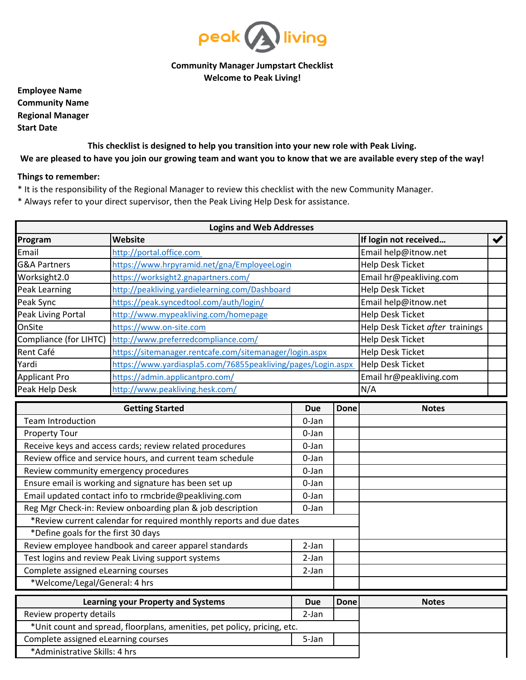

## **Community Manager Jumpstart Checklist Welcome to Peak Living!**

**Employee Name Community Name Regional Manager Start Date**

## **This checklist is designed to help you transition into your new role with Peak Living. We are pleased to have you join our growing team and want you to know that we are available every step of the way!**

## **Things to remember:**

- \* It is the responsibility of the Regional Manager to review this checklist with the new Community Manager.
- \* Always refer to your direct supervisor, then the Peak Living Help Desk for assistance.

| <b>Logins and Web Addresses</b>                                      |                                                                          |                                  |                       |                         |  |  |  |
|----------------------------------------------------------------------|--------------------------------------------------------------------------|----------------------------------|-----------------------|-------------------------|--|--|--|
| Website<br>Program                                                   |                                                                          |                                  | If login not received | $\blacktriangledown$    |  |  |  |
| Email                                                                | http://portal.office.com                                                 |                                  |                       | Email help@itnow.net    |  |  |  |
| <b>G&amp;A Partners</b>                                              | https://www.hrpyramid.net/gna/EmployeeLogin                              |                                  |                       | <b>Help Desk Ticket</b> |  |  |  |
| Worksight2.0<br>https://worksight2.gnapartners.com/                  |                                                                          |                                  |                       | Email hr@peakliving.com |  |  |  |
| Peak Learning<br>http://peakliving.yardielearning.com/Dashboard      |                                                                          |                                  |                       | <b>Help Desk Ticket</b> |  |  |  |
| Peak Sync                                                            | https://peak.syncedtool.com/auth/login/                                  | Email help@itnow.net             |                       |                         |  |  |  |
| <b>Peak Living Portal</b>                                            | http://www.mypeakliving.com/homepage                                     | <b>Help Desk Ticket</b>          |                       |                         |  |  |  |
| OnSite                                                               | https://www.on-site.com                                                  | Help Desk Ticket after trainings |                       |                         |  |  |  |
| Compliance (for LIHTC)<br>http://www.preferredcompliance.com/        |                                                                          |                                  |                       | <b>Help Desk Ticket</b> |  |  |  |
| Rent Café<br>https://sitemanager.rentcafe.com/sitemanager/login.aspx |                                                                          |                                  |                       | <b>Help Desk Ticket</b> |  |  |  |
| Yardi                                                                | https://www.yardiaspla5.com/76855peakliving/pages/Login.aspx             |                                  |                       | <b>Help Desk Ticket</b> |  |  |  |
| <b>Applicant Pro</b>                                                 | https://admin.applicantpro.com/                                          |                                  |                       | Email hr@peakliving.com |  |  |  |
| Peak Help Desk                                                       | http://www.peakliving.hesk.com/                                          |                                  |                       | N/A                     |  |  |  |
|                                                                      | <b>Getting Started</b>                                                   | <b>Due</b>                       | <b>Done</b>           | <b>Notes</b>            |  |  |  |
| <b>Team Introduction</b>                                             |                                                                          | 0-Jan                            |                       |                         |  |  |  |
| <b>Property Tour</b>                                                 |                                                                          | 0-Jan                            |                       |                         |  |  |  |
| Receive keys and access cards; review related procedures             |                                                                          | 0-Jan                            |                       |                         |  |  |  |
| Review office and service hours, and current team schedule           |                                                                          | 0-Jan                            |                       |                         |  |  |  |
| Review community emergency procedures                                |                                                                          | 0-Jan                            |                       |                         |  |  |  |
| Ensure email is working and signature has been set up                |                                                                          | 0-Jan                            |                       |                         |  |  |  |
| Email updated contact info to rmcbride@peakliving.com                |                                                                          | 0-Jan                            |                       |                         |  |  |  |
| Reg Mgr Check-in: Review onboarding plan & job description           |                                                                          | 0-Jan                            |                       |                         |  |  |  |
| *Review current calendar for required monthly reports and due dates  |                                                                          |                                  |                       |                         |  |  |  |
| *Define goals for the first 30 days                                  |                                                                          |                                  |                       |                         |  |  |  |
| Review employee handbook and career apparel standards                |                                                                          | 2-Jan                            |                       |                         |  |  |  |
| Test logins and review Peak Living support systems                   |                                                                          | 2-Jan                            |                       |                         |  |  |  |
| Complete assigned eLearning courses                                  |                                                                          | 2-Jan                            |                       |                         |  |  |  |
| *Welcome/Legal/General: 4 hrs                                        |                                                                          |                                  |                       |                         |  |  |  |
| <b>Learning your Property and Systems</b>                            |                                                                          | <b>Due</b>                       | <b>Done</b>           | <b>Notes</b>            |  |  |  |
| Review property details                                              |                                                                          | 2-Jan                            |                       |                         |  |  |  |
|                                                                      | *Unit count and spread, floorplans, amenities, pet policy, pricing, etc. |                                  |                       |                         |  |  |  |
| Complete assigned eLearning courses                                  |                                                                          | 5-Jan                            |                       |                         |  |  |  |

\*Administrative Skills: 4 hrs